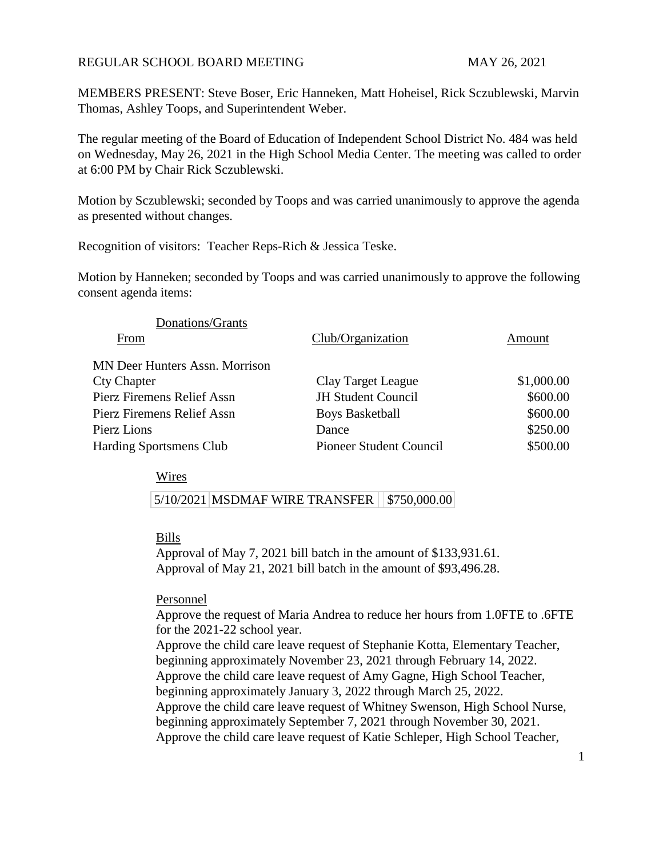## REGULAR SCHOOL BOARD MEETING MAY 26, 2021

MEMBERS PRESENT: Steve Boser, Eric Hanneken, Matt Hoheisel, Rick Sczublewski, Marvin Thomas, Ashley Toops, and Superintendent Weber.

The regular meeting of the Board of Education of Independent School District No. 484 was held on Wednesday, May 26, 2021 in the High School Media Center. The meeting was called to order at 6:00 PM by Chair Rick Sczublewski.

Motion by Sczublewski; seconded by Toops and was carried unanimously to approve the agenda as presented without changes.

Recognition of visitors: Teacher Reps-Rich & Jessica Teske.

Motion by Hanneken; seconded by Toops and was carried unanimously to approve the following consent agenda items:

| Donations/Grants                      |                           |            |
|---------------------------------------|---------------------------|------------|
| From                                  | Club/Organization         | Amount     |
| <b>MN Deer Hunters Assn. Morrison</b> |                           |            |
| <b>Cty Chapter</b>                    | Clay Target League        | \$1,000.00 |
| Pierz Firemens Relief Assn            | <b>JH Student Council</b> | \$600.00   |
| Pierz Firemens Relief Assn            | <b>Boys Basketball</b>    | \$600.00   |
| Pierz Lions                           | Dance                     | \$250.00   |
| Harding Sportsmens Club               | Pioneer Student Council   | \$500.00   |

Wires

5/10/2021 MSDMAF WIRE TRANSFER | \$750,000.00

## Bills

Approval of May 7, 2021 bill batch in the amount of \$133,931.61. Approval of May 21, 2021 bill batch in the amount of \$93,496.28.

Personnel

Approve the request of Maria Andrea to reduce her hours from 1.0FTE to .6FTE for the 2021-22 school year.

Approve the child care leave request of Stephanie Kotta, Elementary Teacher, beginning approximately November 23, 2021 through February 14, 2022. Approve the child care leave request of Amy Gagne, High School Teacher, beginning approximately January 3, 2022 through March 25, 2022. Approve the child care leave request of Whitney Swenson, High School Nurse, beginning approximately September 7, 2021 through November 30, 2021. Approve the child care leave request of Katie Schleper, High School Teacher,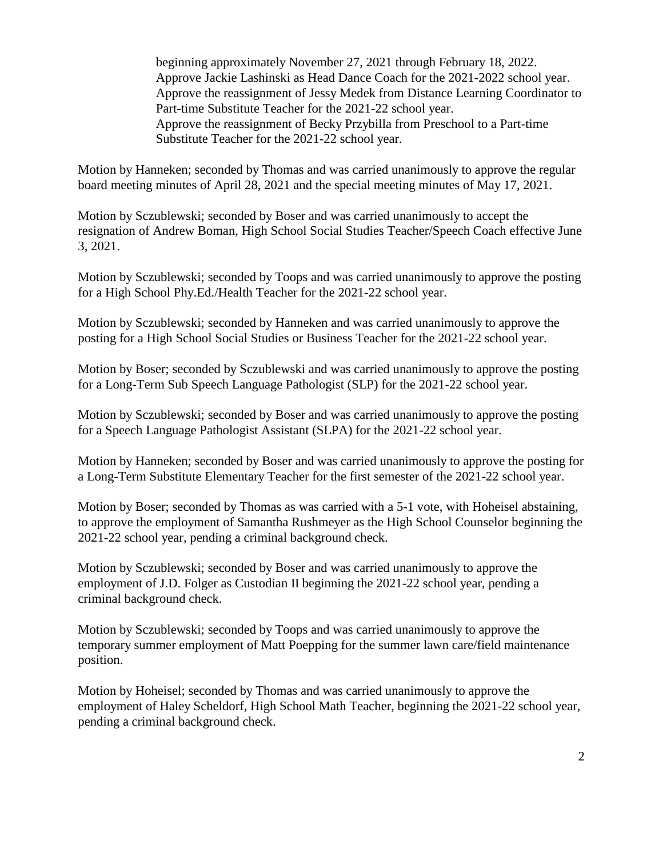beginning approximately November 27, 2021 through February 18, 2022. Approve Jackie Lashinski as Head Dance Coach for the 2021-2022 school year. Approve the reassignment of Jessy Medek from Distance Learning Coordinator to Part-time Substitute Teacher for the 2021-22 school year. Approve the reassignment of Becky Przybilla from Preschool to a Part-time Substitute Teacher for the 2021-22 school year.

Motion by Hanneken; seconded by Thomas and was carried unanimously to approve the regular board meeting minutes of April 28, 2021 and the special meeting minutes of May 17, 2021.

Motion by Sczublewski; seconded by Boser and was carried unanimously to accept the resignation of Andrew Boman, High School Social Studies Teacher/Speech Coach effective June 3, 2021.

Motion by Sczublewski; seconded by Toops and was carried unanimously to approve the posting for a High School Phy.Ed./Health Teacher for the 2021-22 school year.

Motion by Sczublewski; seconded by Hanneken and was carried unanimously to approve the posting for a High School Social Studies or Business Teacher for the 2021-22 school year.

Motion by Boser; seconded by Sczublewski and was carried unanimously to approve the posting for a Long-Term Sub Speech Language Pathologist (SLP) for the 2021-22 school year.

Motion by Sczublewski; seconded by Boser and was carried unanimously to approve the posting for a Speech Language Pathologist Assistant (SLPA) for the 2021-22 school year.

Motion by Hanneken; seconded by Boser and was carried unanimously to approve the posting for a Long-Term Substitute Elementary Teacher for the first semester of the 2021-22 school year.

Motion by Boser; seconded by Thomas as was carried with a 5-1 vote, with Hoheisel abstaining, to approve the employment of Samantha Rushmeyer as the High School Counselor beginning the 2021-22 school year, pending a criminal background check.

Motion by Sczublewski; seconded by Boser and was carried unanimously to approve the employment of J.D. Folger as Custodian II beginning the 2021-22 school year, pending a criminal background check.

Motion by Sczublewski; seconded by Toops and was carried unanimously to approve the temporary summer employment of Matt Poepping for the summer lawn care/field maintenance position.

Motion by Hoheisel; seconded by Thomas and was carried unanimously to approve the employment of Haley Scheldorf, High School Math Teacher, beginning the 2021-22 school year, pending a criminal background check.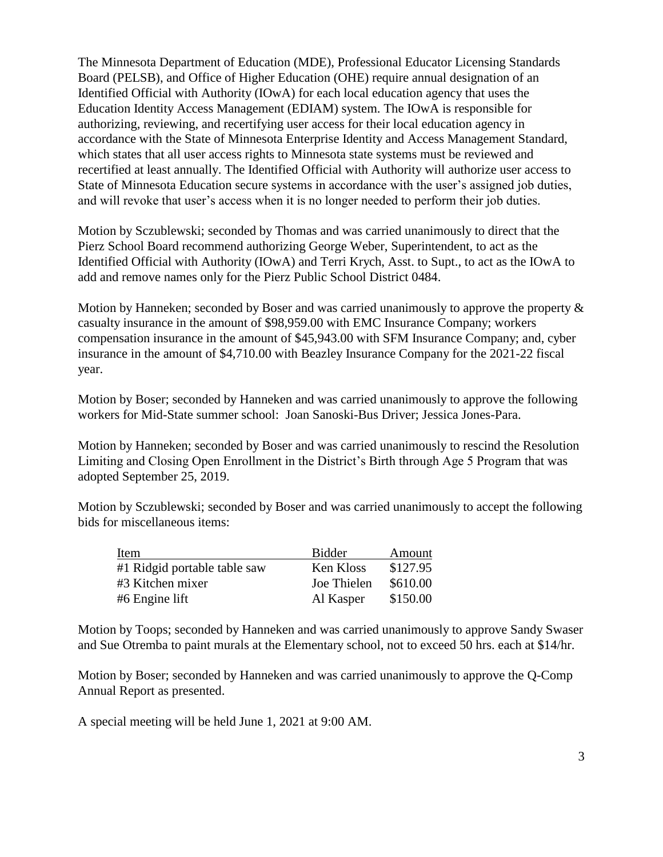The Minnesota Department of Education (MDE), Professional Educator Licensing Standards Board (PELSB), and Office of Higher Education (OHE) require annual designation of an Identified Official with Authority (IOwA) for each local education agency that uses the Education Identity Access Management (EDIAM) system. The IOwA is responsible for authorizing, reviewing, and recertifying user access for their local education agency in accordance with the State of Minnesota Enterprise Identity and Access Management Standard, which states that all user access rights to Minnesota state systems must be reviewed and recertified at least annually. The Identified Official with Authority will authorize user access to State of Minnesota Education secure systems in accordance with the user's assigned job duties, and will revoke that user's access when it is no longer needed to perform their job duties.

Motion by Sczublewski; seconded by Thomas and was carried unanimously to direct that the Pierz School Board recommend authorizing George Weber, Superintendent, to act as the Identified Official with Authority (IOwA) and Terri Krych, Asst. to Supt., to act as the IOwA to add and remove names only for the Pierz Public School District 0484.

Motion by Hanneken; seconded by Boser and was carried unanimously to approve the property & casualty insurance in the amount of \$98,959.00 with EMC Insurance Company; workers compensation insurance in the amount of \$45,943.00 with SFM Insurance Company; and, cyber insurance in the amount of \$4,710.00 with Beazley Insurance Company for the 2021-22 fiscal year.

Motion by Boser; seconded by Hanneken and was carried unanimously to approve the following workers for Mid-State summer school: Joan Sanoski-Bus Driver; Jessica Jones-Para.

Motion by Hanneken; seconded by Boser and was carried unanimously to rescind the Resolution Limiting and Closing Open Enrollment in the District's Birth through Age 5 Program that was adopted September 25, 2019.

Motion by Sczublewski; seconded by Boser and was carried unanimously to accept the following bids for miscellaneous items:

| Item                         | Bidder      | Amount   |
|------------------------------|-------------|----------|
| #1 Ridgid portable table saw | Ken Kloss   | \$127.95 |
| #3 Kitchen mixer             | Joe Thielen | \$610.00 |
| #6 Engine lift               | Al Kasper   | \$150.00 |

Motion by Toops; seconded by Hanneken and was carried unanimously to approve Sandy Swaser and Sue Otremba to paint murals at the Elementary school, not to exceed 50 hrs. each at \$14/hr.

Motion by Boser; seconded by Hanneken and was carried unanimously to approve the Q-Comp Annual Report as presented.

A special meeting will be held June 1, 2021 at 9:00 AM.